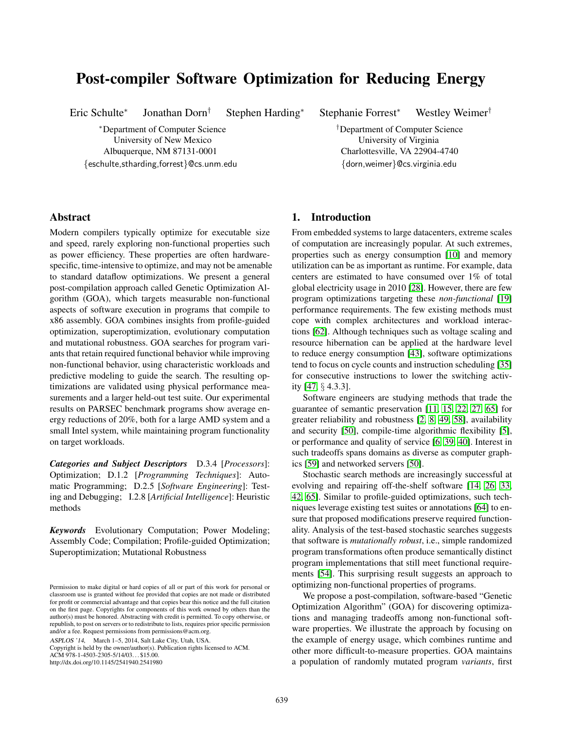# Post-compiler Software Optimization for Reducing Energy

Eric Schulte<sup>∗</sup>

Jonathan Dorn† Stephen Harding<sup>∗</sup> Stephanie Forrest<sup>∗</sup> Westley Weimer†

<sup>∗</sup>Department of Computer Science †Department of Computer Science University of New Mexico University of Virginia Albuquerque, NM 87131-0001 Charlottesville, VA 22904-4740

{eschulte,stharding,forrest}@cs.unm.edu {dorn,weimer}@cs.virginia.edu

# Abstract

Modern compilers typically optimize for executable size and speed, rarely exploring non-functional properties such as power efficiency. These properties are often hardwarespecific, time-intensive to optimize, and may not be amenable to standard dataflow optimizations. We present a general post-compilation approach called Genetic Optimization Algorithm (GOA), which targets measurable non-functional aspects of software execution in programs that compile to x86 assembly. GOA combines insights from profile-guided optimization, superoptimization, evolutionary computation and mutational robustness. GOA searches for program variants that retain required functional behavior while improving non-functional behavior, using characteristic workloads and predictive modeling to guide the search. The resulting optimizations are validated using physical performance measurements and a larger held-out test suite. Our experimental results on PARSEC benchmark programs show average energy reductions of 20%, both for a large AMD system and a small Intel system, while maintaining program functionality on target workloads.

*Categories and Subject Descriptors* D.3.4 [*Processors*]: Optimization; D.1.2 [*Programming Techniques*]: Automatic Programming; D.2.5 [*Software Engineering*]: Testing and Debugging; I.2.8 [*Artificial Intelligence*]: Heuristic methods

*Keywords* Evolutionary Computation; Power Modeling; Assembly Code; Compilation; Profile-guided Optimization; Superoptimization; Mutational Robustness

ASPLOS '14, March 1–5, 2014, Salt Lake City, Utah, USA.

Copyright is held by the owner/author(s). Publication rights licensed to ACM. ACM 978-1-4503-2305-5/14/03. . . \$15.00.

http://dx.doi.org/10.1145/2541940.2541980

# <span id="page-0-0"></span>1. Introduction

From embedded systems to large datacenters, extreme scales of computation are increasingly popular. At such extremes, properties such as energy consumption [\[10\]](#page-11-0) and memory utilization can be as important as runtime. For example, data centers are estimated to have consumed over 1% of total global electricity usage in 2010 [\[28\]](#page-11-1). However, there are few program optimizations targeting these *non-functional* [\[19\]](#page-11-2) performance requirements. The few existing methods must cope with complex architectures and workload interactions [\[62\]](#page-12-0). Although techniques such as voltage scaling and resource hibernation can be applied at the hardware level to reduce energy consumption [\[43\]](#page-12-1), software optimizations tend to focus on cycle counts and instruction scheduling [\[35\]](#page-11-3) for consecutive instructions to lower the switching activity [\[47,](#page-12-2) § 4.3.3].

Software engineers are studying methods that trade the guarantee of semantic preservation [\[11,](#page-11-4) [15,](#page-11-5) [22,](#page-11-6) [27,](#page-11-7) [65\]](#page-12-3) for greater reliability and robustness [\[2,](#page-10-0) [8,](#page-11-8) [49,](#page-12-4) [58\]](#page-12-5), availability and security [\[50\]](#page-12-6), compile-time algorithmic flexibility [\[5\]](#page-11-9), or performance and quality of service [\[6,](#page-11-10) [39,](#page-12-7) [40\]](#page-12-8). Interest in such tradeoffs spans domains as diverse as computer graphics [\[59\]](#page-12-9) and networked servers [\[50\]](#page-12-6).

Stochastic search methods are increasingly successful at evolving and repairing off-the-shelf software [\[14,](#page-11-11) [26,](#page-11-12) [33,](#page-11-13) [42,](#page-12-10) [65\]](#page-12-3). Similar to profile-guided optimizations, such techniques leverage existing test suites or annotations [\[64\]](#page-12-11) to ensure that proposed modifications preserve required functionality. Analysis of the test-based stochastic searches suggests that software is *mutationally robust*, i.e., simple randomized program transformations often produce semantically distinct program implementations that still meet functional requirements [\[54\]](#page-12-12). This surprising result suggests an approach to optimizing non-functional properties of programs.

We propose a post-compilation, software-based "Genetic Optimization Algorithm" (GOA) for discovering optimizations and managing tradeoffs among non-functional software properties. We illustrate the approach by focusing on the example of energy usage, which combines runtime and other more difficult-to-measure properties. GOA maintains a population of randomly mutated program *variants*, first

Permission to make digital or hard copies of all or part of this work for personal or classroom use is granted without fee provided that copies are not made or distributed for profit or commercial advantage and that copies bear this notice and the full citation on the first page. Copyrights for components of this work owned by others than the author(s) must be honored. Abstracting with credit is permitted. To copy otherwise, or republish, to post on servers or to redistribute to lists, requires prior specific permission and/or a fee. Request permissions from permissions@acm.org.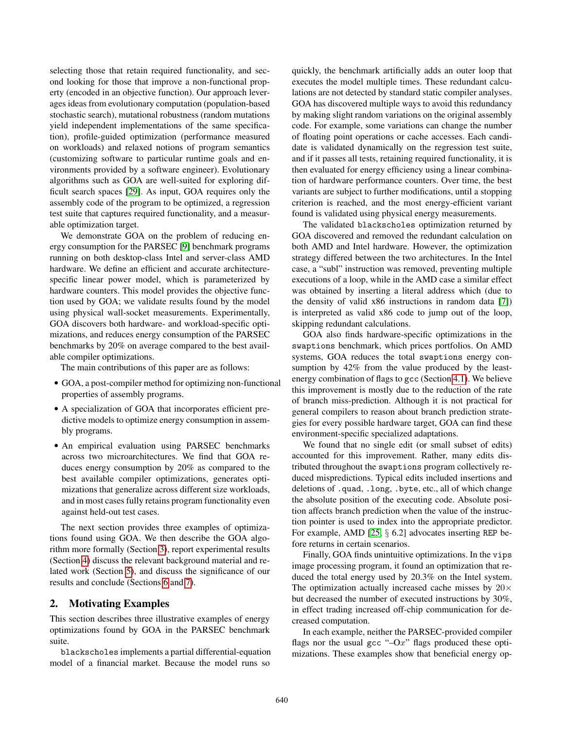selecting those that retain required functionality, and second looking for those that improve a non-functional property (encoded in an objective function). Our approach leverages ideas from evolutionary computation (population-based stochastic search), mutational robustness (random mutations yield independent implementations of the same specification), profile-guided optimization (performance measured on workloads) and relaxed notions of program semantics (customizing software to particular runtime goals and environments provided by a software engineer). Evolutionary algorithms such as GOA are well-suited for exploring difficult search spaces [\[29\]](#page-11-14). As input, GOA requires only the assembly code of the program to be optimized, a regression test suite that captures required functionality, and a measurable optimization target.

We demonstrate GOA on the problem of reducing energy consumption for the PARSEC [\[9\]](#page-11-15) benchmark programs running on both desktop-class Intel and server-class AMD hardware. We define an efficient and accurate architecturespecific linear power model, which is parameterized by hardware counters. This model provides the objective function used by GOA; we validate results found by the model using physical wall-socket measurements. Experimentally, GOA discovers both hardware- and workload-specific optimizations, and reduces energy consumption of the PARSEC benchmarks by 20% on average compared to the best available compiler optimizations.

The main contributions of this paper are as follows:

- GOA, a post-compiler method for optimizing non-functional properties of assembly programs.
- A specialization of GOA that incorporates efficient predictive models to optimize energy consumption in assembly programs.
- An empirical evaluation using PARSEC benchmarks across two microarchitectures. We find that GOA reduces energy consumption by 20% as compared to the best available compiler optimizations, generates optimizations that generalize across different size workloads, and in most cases fully retains program functionality even against held-out test cases.

The next section provides three examples of optimizations found using GOA. We then describe the GOA algorithm more formally (Section [3\)](#page-2-0), report experimental results (Section [4\)](#page-4-0) discuss the relevant background material and related work (Section [5\)](#page-7-0), and discuss the significance of our results and conclude (Sections [6](#page-9-0) and [7\)](#page-10-1).

# <span id="page-1-0"></span>2. Motivating Examples

This section describes three illustrative examples of energy optimizations found by GOA in the PARSEC benchmark suite.

blackscholes implements a partial differential-equation model of a financial market. Because the model runs so

quickly, the benchmark artificially adds an outer loop that executes the model multiple times. These redundant calculations are not detected by standard static compiler analyses. GOA has discovered multiple ways to avoid this redundancy by making slight random variations on the original assembly code. For example, some variations can change the number of floating point operations or cache accesses. Each candidate is validated dynamically on the regression test suite, and if it passes all tests, retaining required functionality, it is then evaluated for energy efficiency using a linear combination of hardware performance counters. Over time, the best variants are subject to further modifications, until a stopping criterion is reached, and the most energy-efficient variant found is validated using physical energy measurements.

The validated blackscholes optimization returned by GOA discovered and removed the redundant calculation on both AMD and Intel hardware. However, the optimization strategy differed between the two architectures. In the Intel case, a "subl" instruction was removed, preventing multiple executions of a loop, while in the AMD case a similar effect was obtained by inserting a literal address which (due to the density of valid x86 instructions in random data [\[7\]](#page-11-16)) is interpreted as valid x86 code to jump out of the loop, skipping redundant calculations.

GOA also finds hardware-specific optimizations in the swaptions benchmark, which prices portfolios. On AMD systems, GOA reduces the total swaptions energy consumption by 42% from the value produced by the leastenergy combination of flags to gcc (Section [4.1\)](#page-4-1). We believe this improvement is mostly due to the reduction of the rate of branch miss-prediction. Although it is not practical for general compilers to reason about branch prediction strategies for every possible hardware target, GOA can find these environment-specific specialized adaptations.

We found that no single edit (or small subset of edits) accounted for this improvement. Rather, many edits distributed throughout the swaptions program collectively reduced mispredictions. Typical edits included insertions and deletions of .quad, .long, .byte, etc., all of which change the absolute position of the executing code. Absolute position affects branch prediction when the value of the instruction pointer is used to index into the appropriate predictor. For example, AMD [\[25,](#page-11-17) § 6.2] advocates inserting REP before returns in certain scenarios.

Finally, GOA finds unintuitive optimizations. In the vips image processing program, it found an optimization that reduced the total energy used by 20.3% on the Intel system. The optimization actually increased cache misses by  $20 \times$ but decreased the number of executed instructions by 30%, in effect trading increased off-chip communication for decreased computation.

In each example, neither the PARSEC-provided compiler flags nor the usual gcc " $-Ox$ " flags produced these optimizations. These examples show that beneficial energy op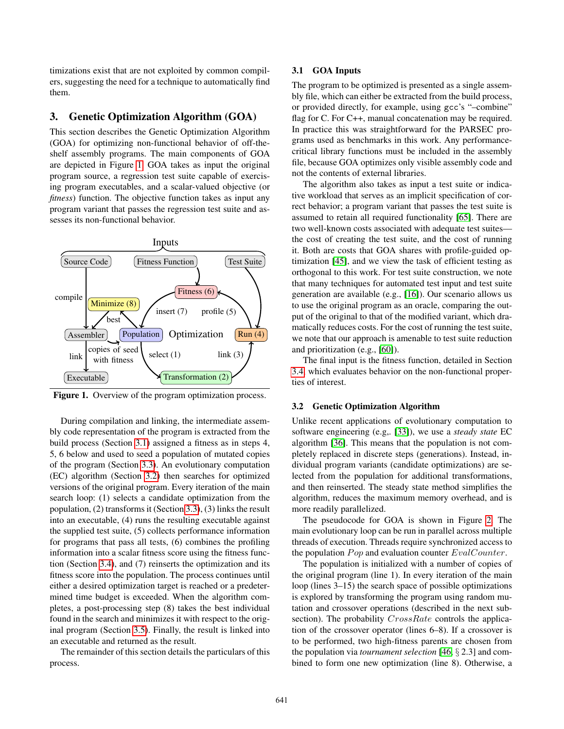timizations exist that are not exploited by common compilers, suggesting the need for a technique to automatically find them.

# <span id="page-2-0"></span>3. Genetic Optimization Algorithm (GOA)

This section describes the Genetic Optimization Algorithm (GOA) for optimizing non-functional behavior of off-theshelf assembly programs. The main components of GOA are depicted in Figure [1.](#page-2-1) GOA takes as input the original program source, a regression test suite capable of exercising program executables, and a scalar-valued objective (or *fitness*) function. The objective function takes as input any program variant that passes the regression test suite and assesses its non-functional behavior.



<span id="page-2-1"></span>Figure 1. Overview of the program optimization process.

During compilation and linking, the intermediate assembly code representation of the program is extracted from the build process (Section [3.1\)](#page-2-2) assigned a fitness as in steps 4, 5, 6 below and used to seed a population of mutated copies of the program (Section [3.3\)](#page-3-0). An evolutionary computation (EC) algorithm (Section [3.2\)](#page-2-3) then searches for optimized versions of the original program. Every iteration of the main search loop: (1) selects a candidate optimization from the population, (2) transforms it (Section [3.3\)](#page-3-0), (3) links the result into an executable, (4) runs the resulting executable against the supplied test suite, (5) collects performance information for programs that pass all tests, (6) combines the profiling information into a scalar fitness score using the fitness function (Section [3.4\)](#page-3-1), and (7) reinserts the optimization and its fitness score into the population. The process continues until either a desired optimization target is reached or a predetermined time budget is exceeded. When the algorithm completes, a post-processing step (8) takes the best individual found in the search and minimizes it with respect to the original program (Section [3.5\)](#page-4-2). Finally, the result is linked into an executable and returned as the result.

The remainder of this section details the particulars of this process.

# <span id="page-2-2"></span>3.1 GOA Inputs

The program to be optimized is presented as a single assembly file, which can either be extracted from the build process, or provided directly, for example, using gcc's "–combine" flag for C. For C++, manual concatenation may be required. In practice this was straightforward for the PARSEC programs used as benchmarks in this work. Any performancecritical library functions must be included in the assembly file, because GOA optimizes only visible assembly code and not the contents of external libraries.

The algorithm also takes as input a test suite or indicative workload that serves as an implicit specification of correct behavior; a program variant that passes the test suite is assumed to retain all required functionality [\[65\]](#page-12-3). There are two well-known costs associated with adequate test suites the cost of creating the test suite, and the cost of running it. Both are costs that GOA shares with profile-guided optimization [\[45\]](#page-12-13), and we view the task of efficient testing as orthogonal to this work. For test suite construction, we note that many techniques for automated test input and test suite generation are available (e.g., [\[16\]](#page-11-18)). Our scenario allows us to use the original program as an oracle, comparing the output of the original to that of the modified variant, which dramatically reduces costs. For the cost of running the test suite, we note that our approach is amenable to test suite reduction and prioritization (e.g., [\[60\]](#page-12-14)).

The final input is the fitness function, detailed in Section [3.4,](#page-3-1) which evaluates behavior on the non-functional properties of interest.

#### <span id="page-2-3"></span>3.2 Genetic Optimization Algorithm

Unlike recent applications of evolutionary computation to software engineering (e.g,. [\[33\]](#page-11-13)), we use a *steady state* EC algorithm [\[36\]](#page-12-15). This means that the population is not completely replaced in discrete steps (generations). Instead, individual program variants (candidate optimizations) are selected from the population for additional transformations, and then reinserted. The steady state method simplifies the algorithm, reduces the maximum memory overhead, and is more readily parallelized.

The pseudocode for GOA is shown in Figure [2.](#page-3-2) The main evolutionary loop can be run in parallel across multiple threads of execution. Threads require synchronized access to the population  $Pop$  and evaluation counter  $EvalCounter$ .

The population is initialized with a number of copies of the original program (line 1). In every iteration of the main loop (lines 3–15) the search space of possible optimizations is explored by transforming the program using random mutation and crossover operations (described in the next subsection). The probability *CrossRate* controls the application of the crossover operator (lines 6–8). If a crossover is to be performed, two high-fitness parents are chosen from the population via *tournament selection* [\[46,](#page-12-16) § 2.3] and combined to form one new optimization (line 8). Otherwise, a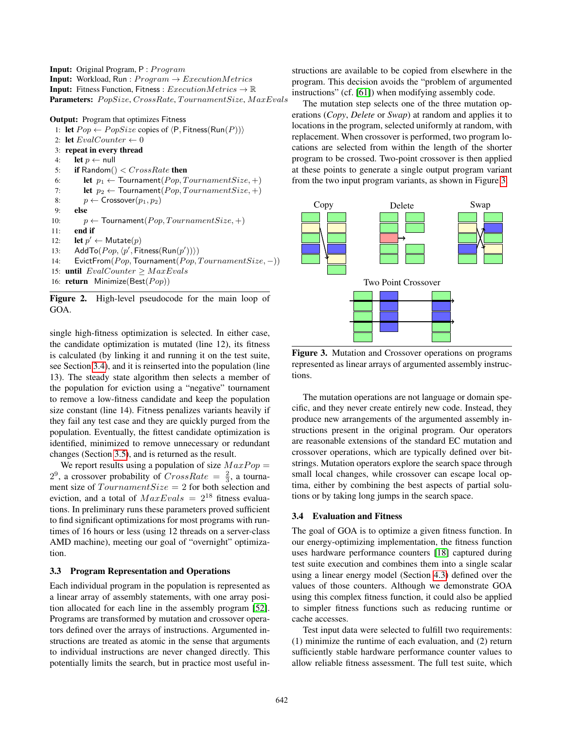Input: Original Program, P: Program **Input:** Workload, Run :  $Program \rightarrow ExecutionMetrics$ **Input:** Fitness Function, Fitness :  $ExecutionMetrics \rightarrow \mathbb{R}$ Parameters: PopSize, CrossRate, TournamentSize, MaxEvals

Output: Program that optimizes Fitness

1: **let**  $Pop \leftarrow PopSize$  copies of  $\langle P, \text{Fitness}(Run(P)) \rangle$ 2: let  $EvalCounter \leftarrow 0$ 3: repeat in every thread 4: **let**  $p \leftarrow$  null 5: if Random()  $\langle CrossRate$  then 6: **let**  $p_1 \leftarrow$  Tournament(*Pop*, TournamentSize, +) 7: **let**  $p_2 \leftarrow \text{Tournament}(Pop, Tourism, 1)$ 8:  $p \leftarrow \text{Crossover}(p_1, p_2)$ 9: else 10:  $p \leftarrow \text{Tournament}(Pop, Tourism, 1)$ 11: end if 12: **let**  $p' \leftarrow \text{Mutate}(p)$ 13: AddTo( $Pop, \langle p', \text{Fitness(Run}(p')) \rangle$ ) 14: EvictFrom(Pop, Tournament(Pop, TournamentSize,-)) 15: until  $EvalCounter \geq MaxEvals$ 16: return Minimize(Best( $Pop$ ))

<span id="page-3-2"></span>Figure 2. High-level pseudocode for the main loop of GOA.

single high-fitness optimization is selected. In either case, the candidate optimization is mutated (line 12), its fitness is calculated (by linking it and running it on the test suite, see Section [3.4\)](#page-3-1), and it is reinserted into the population (line 13). The steady state algorithm then selects a member of the population for eviction using a "negative" tournament to remove a low-fitness candidate and keep the population size constant (line 14). Fitness penalizes variants heavily if they fail any test case and they are quickly purged from the population. Eventually, the fittest candidate optimization is identified, minimized to remove unnecessary or redundant changes (Section [3.5\)](#page-4-2), and is returned as the result.

We report results using a population of size  $MaxPop =$  $2^9$ , a crossover probability of  $CrossRate = \frac{2}{3}$ , a tournament size of  $TournamentSize = 2$  for both selection and eviction, and a total of  $MaxEvals = 2^{18}$  fitness evaluations. In preliminary runs these parameters proved sufficient to find significant optimizations for most programs with runtimes of 16 hours or less (using 12 threads on a server-class AMD machine), meeting our goal of "overnight" optimization.

# <span id="page-3-0"></span>3.3 Program Representation and Operations

Each individual program in the population is represented as a linear array of assembly statements, with one array position allocated for each line in the assembly program [\[52\]](#page-12-17). Programs are transformed by mutation and crossover operators defined over the arrays of instructions. Argumented instructions are treated as atomic in the sense that arguments to individual instructions are never changed directly. This potentially limits the search, but in practice most useful in-

structions are available to be copied from elsewhere in the program. This decision avoids the "problem of argumented instructions" (cf. [\[61\]](#page-12-18)) when modifying assembly code.

The mutation step selects one of the three mutation operations (*Copy*, *Delete* or *Swap*) at random and applies it to locations in the program, selected uniformly at random, with replacement. When crossover is performed, two program locations are selected from within the length of the shorter program to be crossed. Two-point crossover is then applied at these points to generate a single output program variant from the two input program variants, as shown in Figure [3.](#page-3-3)



<span id="page-3-3"></span>Figure 3. Mutation and Crossover operations on programs represented as linear arrays of argumented assembly instructions.

The mutation operations are not language or domain specific, and they never create entirely new code. Instead, they produce new arrangements of the argumented assembly instructions present in the original program. Our operators are reasonable extensions of the standard EC mutation and crossover operations, which are typically defined over bitstrings. Mutation operators explore the search space through small local changes, while crossover can escape local optima, either by combining the best aspects of partial solutions or by taking long jumps in the search space.

# <span id="page-3-1"></span>3.4 Evaluation and Fitness

The goal of GOA is to optimize a given fitness function. In our energy-optimizing implementation, the fitness function uses hardware performance counters [\[18\]](#page-11-19) captured during test suite execution and combines them into a single scalar using a linear energy model (Section [4.3\)](#page-5-0) defined over the values of those counters. Although we demonstrate GOA using this complex fitness function, it could also be applied to simpler fitness functions such as reducing runtime or cache accesses.

Test input data were selected to fulfill two requirements: (1) minimize the runtime of each evaluation, and (2) return sufficiently stable hardware performance counter values to allow reliable fitness assessment. The full test suite, which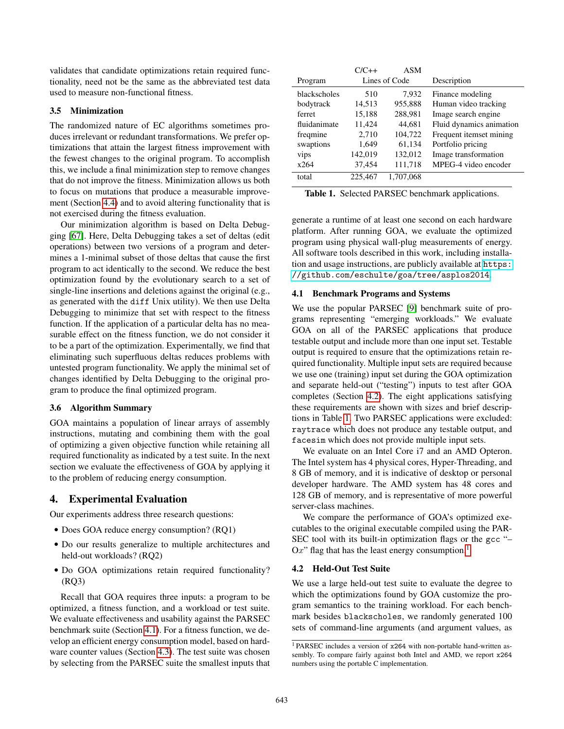validates that candidate optimizations retain required functionality, need not be the same as the abbreviated test data used to measure non-functional fitness.

#### <span id="page-4-2"></span>3.5 Minimization

The randomized nature of EC algorithms sometimes produces irrelevant or redundant transformations. We prefer optimizations that attain the largest fitness improvement with the fewest changes to the original program. To accomplish this, we include a final minimization step to remove changes that do not improve the fitness. Minimization allows us both to focus on mutations that produce a measurable improvement (Section [4.4\)](#page-5-1) and to avoid altering functionality that is not exercised during the fitness evaluation.

Our minimization algorithm is based on Delta Debugging [\[67\]](#page-12-19). Here, Delta Debugging takes a set of deltas (edit operations) between two versions of a program and determines a 1-minimal subset of those deltas that cause the first program to act identically to the second. We reduce the best optimization found by the evolutionary search to a set of single-line insertions and deletions against the original (e.g., as generated with the diff Unix utility). We then use Delta Debugging to minimize that set with respect to the fitness function. If the application of a particular delta has no measurable effect on the fitness function, we do not consider it to be a part of the optimization. Experimentally, we find that eliminating such superfluous deltas reduces problems with untested program functionality. We apply the minimal set of changes identified by Delta Debugging to the original program to produce the final optimized program.

# 3.6 Algorithm Summary

GOA maintains a population of linear arrays of assembly instructions, mutating and combining them with the goal of optimizing a given objective function while retaining all required functionality as indicated by a test suite. In the next section we evaluate the effectiveness of GOA by applying it to the problem of reducing energy consumption.

# <span id="page-4-0"></span>4. Experimental Evaluation

Our experiments address three research questions:

- Does GOA reduce energy consumption? (RQ1)
- Do our results generalize to multiple architectures and held-out workloads? (RQ2)
- Do GOA optimizations retain required functionality? (RQ3)

Recall that GOA requires three inputs: a program to be optimized, a fitness function, and a workload or test suite. We evaluate effectiveness and usability against the PARSEC benchmark suite (Section [4.1\)](#page-4-1). For a fitness function, we develop an efficient energy consumption model, based on hardware counter values (Section [4.3\)](#page-5-0). The test suite was chosen by selecting from the PARSEC suite the smallest inputs that

|              | $C/C++$ | ASM           |                          |
|--------------|---------|---------------|--------------------------|
| Program      |         | Lines of Code | Description              |
| blackscholes | 510     | 7.932         | Finance modeling         |
| bodytrack    | 14,513  | 955,888       | Human video tracking     |
| ferret       | 15,188  | 288,981       | Image search engine      |
| fluidanimate | 11,424  | 44,681        | Fluid dynamics animation |
| freqmine     | 2,710   | 104,722       | Frequent itemset mining  |
| swaptions    | 1.649   | 61,134        | Portfolio pricing        |
| vips         | 142,019 | 132,012       | Image transformation     |
| x264         | 37,454  | 111,718       | MPEG-4 video encoder     |
| total        | 225.467 | 1.707.068     |                          |

<span id="page-4-4"></span>Table 1. Selected PARSEC benchmark applications.

generate a runtime of at least one second on each hardware platform. After running GOA, we evaluate the optimized program using physical wall-plug measurements of energy. All software tools described in this work, including installation and usage instructions, are publicly available at [https:](https://github.com/eschulte/goa/tree/asplos2014) [//github.com/eschulte/goa/tree/asplos2014](https://github.com/eschulte/goa/tree/asplos2014).

#### <span id="page-4-1"></span>4.1 Benchmark Programs and Systems

We use the popular PARSEC [\[9\]](#page-11-15) benchmark suite of programs representing "emerging workloads." We evaluate GOA on all of the PARSEC applications that produce testable output and include more than one input set. Testable output is required to ensure that the optimizations retain required functionality. Multiple input sets are required because we use one (training) input set during the GOA optimization and separate held-out ("testing") inputs to test after GOA completes (Section [4.2\)](#page-4-3). The eight applications satisfying these requirements are shown with sizes and brief descriptions in Table [1.](#page-4-4) Two PARSEC applications were excluded: raytrace which does not produce any testable output, and facesim which does not provide multiple input sets.

We evaluate on an Intel Core i7 and an AMD Opteron. The Intel system has 4 physical cores, Hyper-Threading, and 8 GB of memory, and it is indicative of desktop or personal developer hardware. The AMD system has 48 cores and 128 GB of memory, and is representative of more powerful server-class machines.

We compare the performance of GOA's optimized executables to the original executable compiled using the PAR-SEC tool with its built-in optimization flags or the gcc "–  $Ox$ " flag that has the least energy consumption.<sup>[1](#page-4-5)</sup>

# <span id="page-4-3"></span>4.2 Held-Out Test Suite

We use a large held-out test suite to evaluate the degree to which the optimizations found by GOA customize the program semantics to the training workload. For each benchmark besides blackscholes, we randomly generated 100 sets of command-line arguments (and argument values, as

<span id="page-4-5"></span><sup>1</sup> PARSEC includes a version of x264 with non-portable hand-written assembly. To compare fairly against both Intel and AMD, we report x264 numbers using the portable C implementation.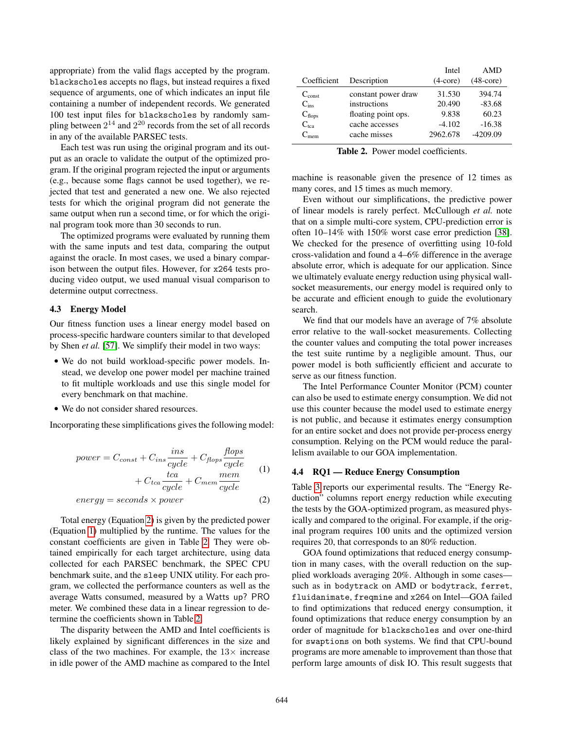appropriate) from the valid flags accepted by the program. blackscholes accepts no flags, but instead requires a fixed sequence of arguments, one of which indicates an input file containing a number of independent records. We generated 100 test input files for blackscholes by randomly sampling between  $2^{14}$  and  $2^{20}$  records from the set of all records in any of the available PARSEC tests.

Each test was run using the original program and its output as an oracle to validate the output of the optimized program. If the original program rejected the input or arguments (e.g., because some flags cannot be used together), we rejected that test and generated a new one. We also rejected tests for which the original program did not generate the same output when run a second time, or for which the original program took more than 30 seconds to run.

The optimized programs were evaluated by running them with the same inputs and test data, comparing the output against the oracle. In most cases, we used a binary comparison between the output files. However, for x264 tests producing video output, we used manual visual comparison to determine output correctness.

#### <span id="page-5-0"></span>4.3 Energy Model

Our fitness function uses a linear energy model based on process-specific hardware counters similar to that developed by Shen *et al.* [\[57\]](#page-12-20). We simplify their model in two ways:

- We do not build workload-specific power models. Instead, we develop one power model per machine trained to fit multiple workloads and use this single model for every benchmark on that machine.
- We do not consider shared resources.

Incorporating these simplifications gives the following model:

$$
power = C_{const} + C_{ins} \frac{ins}{cycle} + C_{flops} \frac{flops}{cycle}
$$

$$
+ C_{tca} \frac{tca}{cycle} + C_{mem} \frac{mem}{cycle}
$$
 (1)

$$
energy = seconds \times power \tag{2}
$$

Total energy (Equation [2\)](#page-5-2) is given by the predicted power (Equation [1\)](#page-5-3) multiplied by the runtime. The values for the constant coefficients are given in Table [2.](#page-5-4) They were obtained empirically for each target architecture, using data collected for each PARSEC benchmark, the SPEC CPU benchmark suite, and the sleep UNIX utility. For each program, we collected the performance counters as well as the average Watts consumed, measured by a Watts up? PRO meter. We combined these data in a linear regression to determine the coefficients shown in Table [2.](#page-5-4)

The disparity between the AMD and Intel coefficients is likely explained by significant differences in the size and class of the two machines. For example, the  $13\times$  increase in idle power of the AMD machine as compared to the Intel

|                             |                     | Intel       | <b>AMD</b>   |
|-----------------------------|---------------------|-------------|--------------|
| Coefficient                 | Description         | $(4$ -core) | $(48$ -core) |
| $C_{\text{const}}$          | constant power draw | 31.530      | 394.74       |
| $C_{ins}$                   | instructions        | 20.490      | $-83.68$     |
| $C_{\text{flops}}$          | floating point ops. | 9.838       | 60.23        |
| $C_{\text{tea}}$            | cache accesses      | $-4.102$    | $-16.38$     |
| $\mathrm{C}_{\mathrm{mem}}$ | cache misses        | 2962.678    | $-4209.09$   |

<span id="page-5-4"></span>Table 2. Power model coefficients.

machine is reasonable given the presence of 12 times as many cores, and 15 times as much memory.

Even without our simplifications, the predictive power of linear models is rarely perfect. McCullough *et al.* note that on a simple multi-core system, CPU-prediction error is often 10–14% with 150% worst case error prediction [\[38\]](#page-12-21). We checked for the presence of overfitting using 10-fold cross-validation and found a 4–6% difference in the average absolute error, which is adequate for our application. Since we ultimately evaluate energy reduction using physical wallsocket measurements, our energy model is required only to be accurate and efficient enough to guide the evolutionary search.

We find that our models have an average of 7% absolute error relative to the wall-socket measurements. Collecting the counter values and computing the total power increases the test suite runtime by a negligible amount. Thus, our power model is both sufficiently efficient and accurate to serve as our fitness function.

The Intel Performance Counter Monitor (PCM) counter can also be used to estimate energy consumption. We did not use this counter because the model used to estimate energy is not public, and because it estimates energy consumption for an entire socket and does not provide per-process energy consumption. Relying on the PCM would reduce the parallelism available to our GOA implementation.

#### <span id="page-5-3"></span><span id="page-5-1"></span>4.4 RQ1 — Reduce Energy Consumption

<span id="page-5-2"></span>Table [3](#page-6-0) reports our experimental results. The "Energy Reduction" columns report energy reduction while executing the tests by the GOA-optimized program, as measured physically and compared to the original. For example, if the original program requires 100 units and the optimized version requires 20, that corresponds to an 80% reduction.

GOA found optimizations that reduced energy consumption in many cases, with the overall reduction on the supplied workloads averaging 20%. Although in some cases such as in bodytrack on AMD or bodytrack, ferret, fluidanimate, freqmine and x264 on Intel—GOA failed to find optimizations that reduced energy consumption, it found optimizations that reduce energy consumption by an order of magnitude for blackscholes and over one-third for swaptions on both systems. We find that CPU-bound programs are more amenable to improvement than those that perform large amounts of disk IO. This result suggests that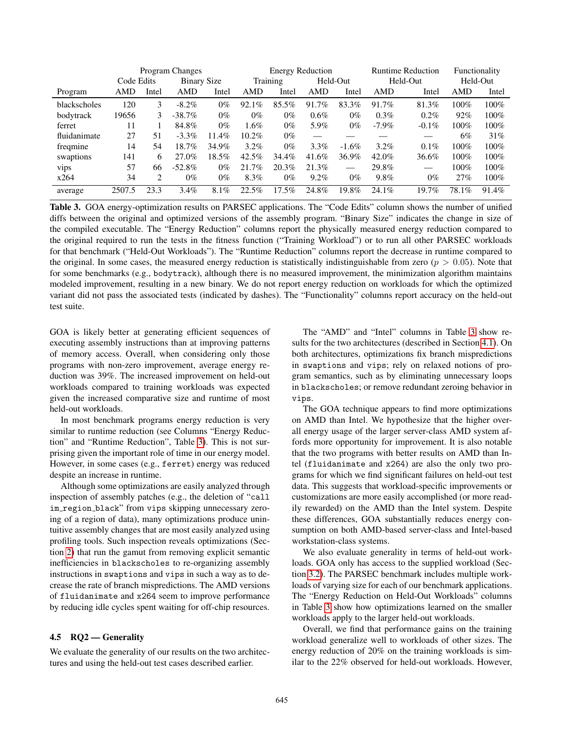|              | <b>Program Changes</b> |                |                    | <b>Energy Reduction</b> |          |       | <b>Runtime Reduction</b> |          | Functionality |          |          |         |
|--------------|------------------------|----------------|--------------------|-------------------------|----------|-------|--------------------------|----------|---------------|----------|----------|---------|
|              | Code Edits             |                | <b>Binary Size</b> |                         | Training |       | Held-Out                 |          | Held-Out      |          | Held-Out |         |
| Program      | AMD                    | Intel          | <b>AMD</b>         | Intel                   | AMD      | Intel | AMD                      | Intel    | AMD           | Intel    | AMD      | Intel   |
| blackscholes | 120                    | 3              | $-8.2\%$           | $0\%$                   | 92.1%    | 85.5% | .7%<br>91.               | 83.3%    | 91.7%         | 81.3%    | 100%     | 100%    |
| bodytrack    | 19656                  | 3              | $-38.7\%$          | $0\%$                   | $0\%$    | $0\%$ | $0.6\%$                  | $0\%$    | $0.3\%$       | $0.2\%$  | 92%      | $100\%$ |
| ferret       | 11                     |                | 84.8%              | $0\%$                   | $1.6\%$  | $0\%$ | 5.9%                     | $0\%$    | $-7.9\%$      | $-0.1\%$ | 100%     | 100%    |
| fluidanimate | 27                     | 51             | $-3.3\%$           | 11.4%                   | $10.2\%$ | $0\%$ |                          |          |               |          | 6%       | 31%     |
| freqmine     | 14                     | 54             | 18.7%              | 34.9%                   | $3.2\%$  | $0\%$ | $3.3\%$                  | $-1.6\%$ | $3.2\%$       | $0.1\%$  | 100%     | 100%    |
| swaptions    | 141                    | 6              | 27.0%              | 18.5%                   | 42.5%    | 34.4% | 41.6%                    | 36.9%    | 42.0%         | 36.6%    | 100%     | $100\%$ |
| vips         | 57                     | 66             | $-52.8%$           | $0\%$                   | 21.7%    | 20.3% | 21.3%                    |          | 29.8%         |          | 100%     | $100\%$ |
| x264         | 34                     | $\mathfrak{D}$ | $0\%$              | $0\%$                   | 8.3%     | $0\%$ | $9.2\%$                  | $0\%$    | 9.8%          | $0\%$    | 27%      | 100%    |
| average      | 2507.5                 | 23.3           | $3.4\%$            | 8.1%                    | 22.5%    | 17.5% | 24.8%                    | 19.8%    | 24.1%         | $19.7\%$ | 78.1%    | 91.4%   |

<span id="page-6-0"></span>Table 3. GOA energy-optimization results on PARSEC applications. The "Code Edits" column shows the number of unified diffs between the original and optimized versions of the assembly program. "Binary Size" indicates the change in size of the compiled executable. The "Energy Reduction" columns report the physically measured energy reduction compared to the original required to run the tests in the fitness function ("Training Workload") or to run all other PARSEC workloads for that benchmark ("Held-Out Workloads"). The "Runtime Reduction" columns report the decrease in runtime compared to the original. In some cases, the measured energy reduction is statistically indistinguishable from zero ( $p > 0.05$ ). Note that for some benchmarks (e.g., bodytrack), although there is no measured improvement, the minimization algorithm maintains modeled improvement, resulting in a new binary. We do not report energy reduction on workloads for which the optimized variant did not pass the associated tests (indicated by dashes). The "Functionality" columns report accuracy on the held-out test suite.

GOA is likely better at generating efficient sequences of executing assembly instructions than at improving patterns of memory access. Overall, when considering only those programs with non-zero improvement, average energy reduction was 39%. The increased improvement on held-out workloads compared to training workloads was expected given the increased comparative size and runtime of most held-out workloads.

In most benchmark programs energy reduction is very similar to runtime reduction (see Columns "Energy Reduction" and "Runtime Reduction", Table [3\)](#page-6-0). This is not surprising given the important role of time in our energy model. However, in some cases (e.g., ferret) energy was reduced despite an increase in runtime.

Although some optimizations are easily analyzed through inspection of assembly patches (e.g., the deletion of "call im region black" from vips skipping unnecessary zeroing of a region of data), many optimizations produce unintuitive assembly changes that are most easily analyzed using profiling tools. Such inspection reveals optimizations (Section [2\)](#page-1-0) that run the gamut from removing explicit semantic inefficiencies in blackscholes to re-organizing assembly instructions in swaptions and vips in such a way as to decrease the rate of branch mispredictions. The AMD versions of fluidanimate and x264 seem to improve performance by reducing idle cycles spent waiting for off-chip resources.

# 4.5 RQ2 — Generality

We evaluate the generality of our results on the two architectures and using the held-out test cases described earlier.

The "AMD" and "Intel" columns in Table [3](#page-6-0) show results for the two architectures (described in Section [4.1\)](#page-4-1). On both architectures, optimizations fix branch mispredictions in swaptions and vips; rely on relaxed notions of program semantics, such as by eliminating unnecessary loops in blackscholes; or remove redundant zeroing behavior in vips.

The GOA technique appears to find more optimizations on AMD than Intel. We hypothesize that the higher overall energy usage of the larger server-class AMD system affords more opportunity for improvement. It is also notable that the two programs with better results on AMD than Intel (fluidanimate and x264) are also the only two programs for which we find significant failures on held-out test data. This suggests that workload-specific improvements or customizations are more easily accomplished (or more readily rewarded) on the AMD than the Intel system. Despite these differences, GOA substantially reduces energy consumption on both AMD-based server-class and Intel-based workstation-class systems.

We also evaluate generality in terms of held-out workloads. GOA only has access to the supplied workload (Section [3.2\)](#page-2-3). The PARSEC benchmark includes multiple workloads of varying size for each of our benchmark applications. The "Energy Reduction on Held-Out Workloads" columns in Table [3](#page-6-0) show how optimizations learned on the smaller workloads apply to the larger held-out workloads.

Overall, we find that performance gains on the training workload generalize well to workloads of other sizes. The energy reduction of 20% on the training workloads is similar to the 22% observed for held-out workloads. However,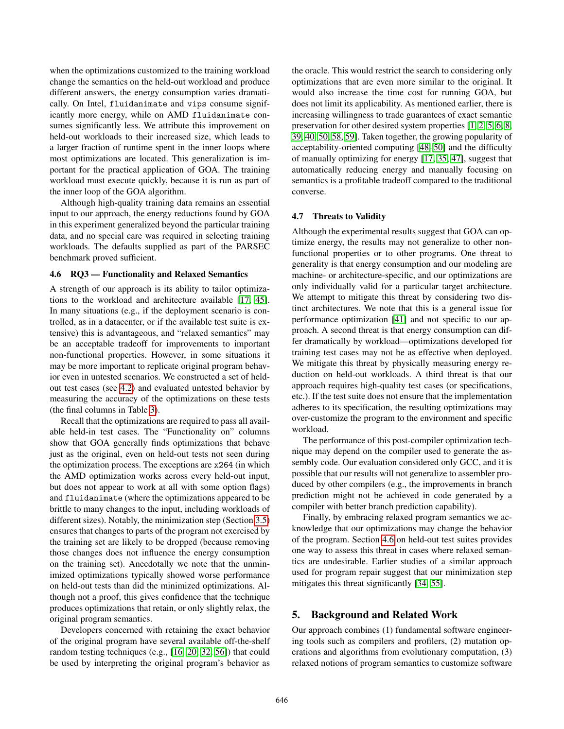when the optimizations customized to the training workload change the semantics on the held-out workload and produce different answers, the energy consumption varies dramatically. On Intel, fluidanimate and vips consume significantly more energy, while on AMD fluidanimate consumes significantly less. We attribute this improvement on held-out workloads to their increased size, which leads to a larger fraction of runtime spent in the inner loops where most optimizations are located. This generalization is important for the practical application of GOA. The training workload must execute quickly, because it is run as part of the inner loop of the GOA algorithm.

Although high-quality training data remains an essential input to our approach, the energy reductions found by GOA in this experiment generalized beyond the particular training data, and no special care was required in selecting training workloads. The defaults supplied as part of the PARSEC benchmark proved sufficient.

#### <span id="page-7-1"></span>4.6 RQ3 — Functionality and Relaxed Semantics

A strength of our approach is its ability to tailor optimizations to the workload and architecture available [\[17,](#page-11-20) [45\]](#page-12-13). In many situations (e.g., if the deployment scenario is controlled, as in a datacenter, or if the available test suite is extensive) this is advantageous, and "relaxed semantics" may be an acceptable tradeoff for improvements to important non-functional properties. However, in some situations it may be more important to replicate original program behavior even in untested scenarios. We constructed a set of heldout test cases (see [4.2\)](#page-4-3) and evaluated untested behavior by measuring the accuracy of the optimizations on these tests (the final columns in Table [3\)](#page-6-0).

Recall that the optimizations are required to pass all available held-in test cases. The "Functionality on" columns show that GOA generally finds optimizations that behave just as the original, even on held-out tests not seen during the optimization process. The exceptions are x264 (in which the AMD optimization works across every held-out input, but does not appear to work at all with some option flags) and fluidanimate (where the optimizations appeared to be brittle to many changes to the input, including workloads of different sizes). Notably, the minimization step (Section [3.5\)](#page-4-2) ensures that changes to parts of the program not exercised by the training set are likely to be dropped (because removing those changes does not influence the energy consumption on the training set). Anecdotally we note that the unminimized optimizations typically showed worse performance on held-out tests than did the minimized optimizations. Although not a proof, this gives confidence that the technique produces optimizations that retain, or only slightly relax, the original program semantics.

Developers concerned with retaining the exact behavior of the original program have several available off-the-shelf random testing techniques (e.g., [\[16,](#page-11-18) [20,](#page-11-21) [32,](#page-11-22) [56\]](#page-12-22)) that could be used by interpreting the original program's behavior as

the oracle. This would restrict the search to considering only optimizations that are even more similar to the original. It would also increase the time cost for running GOA, but does not limit its applicability. As mentioned earlier, there is increasing willingness to trade guarantees of exact semantic preservation for other desired system properties [\[1,](#page-10-2) [2,](#page-10-0) [5,](#page-11-9) [6,](#page-11-10) [8,](#page-11-8) [39,](#page-12-7) [40,](#page-12-8) [50,](#page-12-6) [58,](#page-12-5) [59\]](#page-12-9). Taken together, the growing popularity of acceptability-oriented computing [\[48–](#page-12-23)[50\]](#page-12-6) and the difficulty of manually optimizing for energy [\[17,](#page-11-20) [35,](#page-11-3) [47\]](#page-12-2), suggest that automatically reducing energy and manually focusing on semantics is a profitable tradeoff compared to the traditional converse.

#### 4.7 Threats to Validity

Although the experimental results suggest that GOA can optimize energy, the results may not generalize to other nonfunctional properties or to other programs. One threat to generality is that energy consumption and our modeling are machine- or architecture-specific, and our optimizations are only individually valid for a particular target architecture. We attempt to mitigate this threat by considering two distinct architectures. We note that this is a general issue for performance optimization [\[41\]](#page-12-24) and not specific to our approach. A second threat is that energy consumption can differ dramatically by workload—optimizations developed for training test cases may not be as effective when deployed. We mitigate this threat by physically measuring energy reduction on held-out workloads. A third threat is that our approach requires high-quality test cases (or specifications, etc.). If the test suite does not ensure that the implementation adheres to its specification, the resulting optimizations may over-customize the program to the environment and specific workload.

The performance of this post-compiler optimization technique may depend on the compiler used to generate the assembly code. Our evaluation considered only GCC, and it is possible that our results will not generalize to assembler produced by other compilers (e.g., the improvements in branch prediction might not be achieved in code generated by a compiler with better branch prediction capability).

Finally, by embracing relaxed program semantics we acknowledge that our optimizations may change the behavior of the program. Section [4.6](#page-7-1) on held-out test suites provides one way to assess this threat in cases where relaxed semantics are undesirable. Earlier studies of a similar approach used for program repair suggest that our minimization step mitigates this threat significantly [\[34,](#page-11-23) [55\]](#page-12-25).

# <span id="page-7-0"></span>5. Background and Related Work

Our approach combines (1) fundamental software engineering tools such as compilers and profilers, (2) mutation operations and algorithms from evolutionary computation, (3) relaxed notions of program semantics to customize software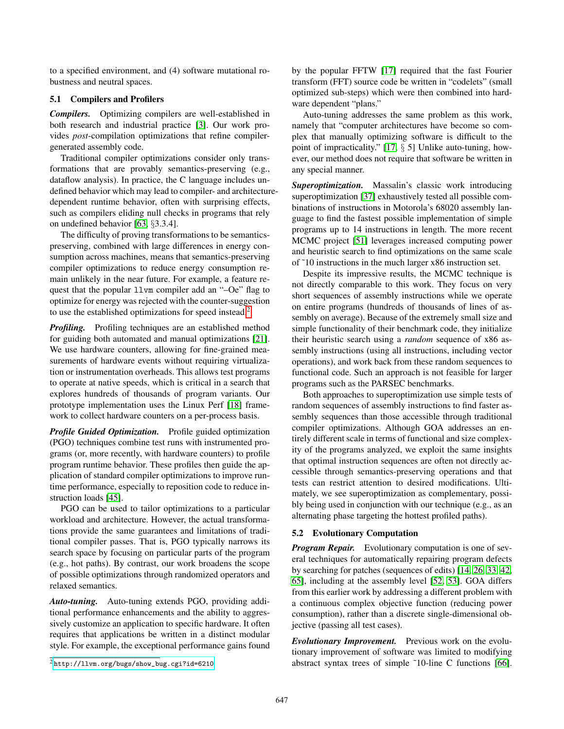to a specified environment, and (4) software mutational robustness and neutral spaces.

#### 5.1 Compilers and Profilers

*Compilers.* Optimizing compilers are well-established in both research and industrial practice [\[3\]](#page-10-3). Our work provides *post*-compilation optimizations that refine compilergenerated assembly code.

Traditional compiler optimizations consider only transformations that are provably semantics-preserving (e.g., dataflow analysis). In practice, the C language includes undefined behavior which may lead to compiler- and architecturedependent runtime behavior, often with surprising effects, such as compilers eliding null checks in programs that rely on undefined behavior [\[63,](#page-12-26) §3.3.4].

The difficulty of proving transformations to be semanticspreserving, combined with large differences in energy consumption across machines, means that semantics-preserving compiler optimizations to reduce energy consumption remain unlikely in the near future. For example, a feature request that the popular llvm compiler add an "–Oe" flag to optimize for energy was rejected with the counter-suggestion to use the established optimizations for speed instead.[2](#page-8-0)

*Profiling.* Profiling techniques are an established method for guiding both automated and manual optimizations [\[21\]](#page-11-24). We use hardware counters, allowing for fine-grained measurements of hardware events without requiring virtualization or instrumentation overheads. This allows test programs to operate at native speeds, which is critical in a search that explores hundreds of thousands of program variants. Our prototype implementation uses the Linux Perf [\[18\]](#page-11-19) framework to collect hardware counters on a per-process basis.

*Profile Guided Optimization.* Profile guided optimization (PGO) techniques combine test runs with instrumented programs (or, more recently, with hardware counters) to profile program runtime behavior. These profiles then guide the application of standard compiler optimizations to improve runtime performance, especially to reposition code to reduce instruction loads [\[45\]](#page-12-13).

PGO can be used to tailor optimizations to a particular workload and architecture. However, the actual transformations provide the same guarantees and limitations of traditional compiler passes. That is, PGO typically narrows its search space by focusing on particular parts of the program (e.g., hot paths). By contrast, our work broadens the scope of possible optimizations through randomized operators and relaxed semantics.

*Auto-tuning.* Auto-tuning extends PGO, providing additional performance enhancements and the ability to aggressively customize an application to specific hardware. It often requires that applications be written in a distinct modular style. For example, the exceptional performance gains found by the popular FFTW [\[17\]](#page-11-20) required that the fast Fourier transform (FFT) source code be written in "codelets" (small optimized sub-steps) which were then combined into hardware dependent "plans."

Auto-tuning addresses the same problem as this work, namely that "computer architectures have become so complex that manually optimizing software is difficult to the point of impracticality." [\[17,](#page-11-20) § 5] Unlike auto-tuning, however, our method does not require that software be written in any special manner.

*Superoptimization.* Massalin's classic work introducing superoptimization [\[37\]](#page-12-27) exhaustively tested all possible combinations of instructions in Motorola's 68020 assembly language to find the fastest possible implementation of simple programs up to 14 instructions in length. The more recent MCMC project [\[51\]](#page-12-28) leverages increased computing power and heuristic search to find optimizations on the same scale of ˜10 instructions in the much larger x86 instruction set.

Despite its impressive results, the MCMC technique is not directly comparable to this work. They focus on very short sequences of assembly instructions while we operate on entire programs (hundreds of thousands of lines of assembly on average). Because of the extremely small size and simple functionality of their benchmark code, they initialize their heuristic search using a *random* sequence of x86 assembly instructions (using all instructions, including vector operations), and work back from these random sequences to functional code. Such an approach is not feasible for larger programs such as the PARSEC benchmarks.

Both approaches to superoptimization use simple tests of random sequences of assembly instructions to find faster assembly sequences than those accessible through traditional compiler optimizations. Although GOA addresses an entirely different scale in terms of functional and size complexity of the programs analyzed, we exploit the same insights that optimal instruction sequences are often not directly accessible through semantics-preserving operations and that tests can restrict attention to desired modifications. Ultimately, we see superoptimization as complementary, possibly being used in conjunction with our technique (e.g., as an alternating phase targeting the hottest profiled paths).

#### 5.2 Evolutionary Computation

*Program Repair.* Evolutionary computation is one of several techniques for automatically repairing program defects by searching for patches (sequences of edits) [\[14,](#page-11-11) [26,](#page-11-12) [33,](#page-11-13) [42,](#page-12-10) [65\]](#page-12-3), including at the assembly level [\[52,](#page-12-17) [53\]](#page-12-29). GOA differs from this earlier work by addressing a different problem with a continuous complex objective function (reducing power consumption), rather than a discrete single-dimensional objective (passing all test cases).

*Evolutionary Improvement.* Previous work on the evolutionary improvement of software was limited to modifying abstract syntax trees of simple ˜10-line C functions [\[66\]](#page-12-30).

<span id="page-8-0"></span><sup>2</sup> [http://llvm.org/bugs/show\\_bug.cgi?id=6210](http://llvm.org/bugs/show_bug.cgi?id=6210)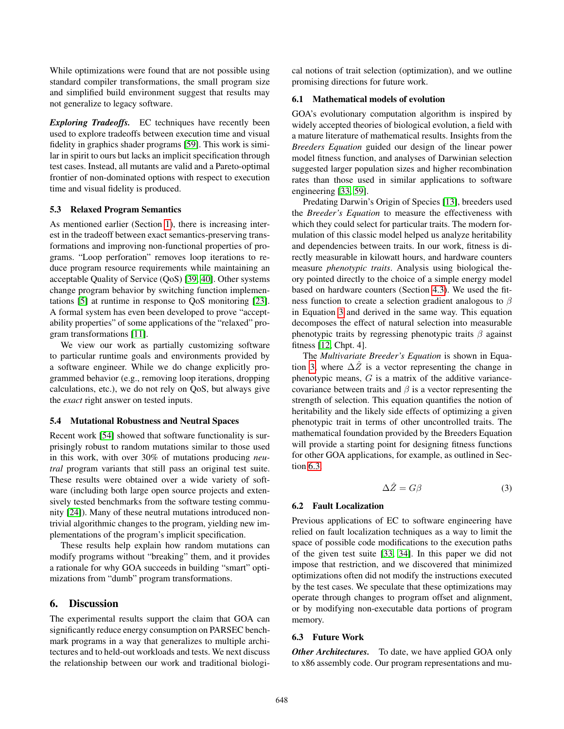While optimizations were found that are not possible using standard compiler transformations, the small program size and simplified build environment suggest that results may not generalize to legacy software.

*Exploring Tradeoffs.* EC techniques have recently been used to explore tradeoffs between execution time and visual fidelity in graphics shader programs [\[59\]](#page-12-9). This work is similar in spirit to ours but lacks an implicit specification through test cases. Instead, all mutants are valid and a Pareto-optimal frontier of non-dominated options with respect to execution time and visual fidelity is produced.

#### 5.3 Relaxed Program Semantics

As mentioned earlier (Section [1\)](#page-0-0), there is increasing interest in the tradeoff between exact semantics-preserving transformations and improving non-functional properties of programs. "Loop perforation" removes loop iterations to reduce program resource requirements while maintaining an acceptable Quality of Service (QoS) [\[39,](#page-12-7) [40\]](#page-12-8). Other systems change program behavior by switching function implementations [\[5\]](#page-11-9) at runtime in response to QoS monitoring [\[23\]](#page-11-25). A formal system has even been developed to prove "acceptability properties" of some applications of the "relaxed" program transformations [\[11\]](#page-11-4).

We view our work as partially customizing software to particular runtime goals and environments provided by a software engineer. While we do change explicitly programmed behavior (e.g., removing loop iterations, dropping calculations, etc.), we do not rely on QoS, but always give the *exact* right answer on tested inputs.

### 5.4 Mutational Robustness and Neutral Spaces

Recent work [\[54\]](#page-12-12) showed that software functionality is surprisingly robust to random mutations similar to those used in this work, with over 30% of mutations producing *neutral* program variants that still pass an original test suite. These results were obtained over a wide variety of software (including both large open source projects and extensively tested benchmarks from the software testing community [\[24\]](#page-11-26)). Many of these neutral mutations introduced nontrivial algorithmic changes to the program, yielding new implementations of the program's implicit specification.

These results help explain how random mutations can modify programs without "breaking" them, and it provides a rationale for why GOA succeeds in building "smart" optimizations from "dumb" program transformations.

# <span id="page-9-0"></span>6. Discussion

The experimental results support the claim that GOA can significantly reduce energy consumption on PARSEC benchmark programs in a way that generalizes to multiple architectures and to held-out workloads and tests. We next discuss the relationship between our work and traditional biological notions of trait selection (optimization), and we outline promising directions for future work.

#### 6.1 Mathematical models of evolution

GOA's evolutionary computation algorithm is inspired by widely accepted theories of biological evolution, a field with a mature literature of mathematical results. Insights from the *Breeders Equation* guided our design of the linear power model fitness function, and analyses of Darwinian selection suggested larger population sizes and higher recombination rates than those used in similar applications to software engineering [\[33,](#page-11-13) [59\]](#page-12-9).

Predating Darwin's Origin of Species [\[13\]](#page-11-27), breeders used the *Breeder's Equation* to measure the effectiveness with which they could select for particular traits. The modern formulation of this classic model helped us analyze heritability and dependencies between traits. In our work, fitness is directly measurable in kilowatt hours, and hardware counters measure *phenotypic traits*. Analysis using biological theory pointed directly to the choice of a simple energy model based on hardware counters (Section [4.3\)](#page-5-0). We used the fitness function to create a selection gradient analogous to  $\beta$ in Equation [3](#page-9-1) and derived in the same way. This equation decomposes the effect of natural selection into measurable phenotypic traits by regressing phenotypic traits  $\beta$  against fitness [\[12,](#page-11-28) Chpt. 4].

The *Multivariate Breeder's Equation* is shown in Equa-tion [3,](#page-9-1) where  $\Delta \hat{Z}$  is a vector representing the change in phenotypic means,  $G$  is a matrix of the additive variancecovariance between traits and  $\beta$  is a vector representing the strength of selection. This equation quantifies the notion of heritability and the likely side effects of optimizing a given phenotypic trait in terms of other uncontrolled traits. The mathematical foundation provided by the Breeders Equation will provide a starting point for designing fitness functions for other GOA applications, for example, as outlined in Section [6.3.](#page-10-4)

<span id="page-9-1"></span>
$$
\Delta \hat{Z} = G\beta \tag{3}
$$

#### 6.2 Fault Localization

Previous applications of EC to software engineering have relied on fault localization techniques as a way to limit the space of possible code modifications to the execution paths of the given test suite [\[33,](#page-11-13) [34\]](#page-11-23). In this paper we did not impose that restriction, and we discovered that minimized optimizations often did not modify the instructions executed by the test cases. We speculate that these optimizations may operate through changes to program offset and alignment, or by modifying non-executable data portions of program memory.

# 6.3 Future Work

*Other Architectures.* To date, we have applied GOA only to x86 assembly code. Our program representations and mu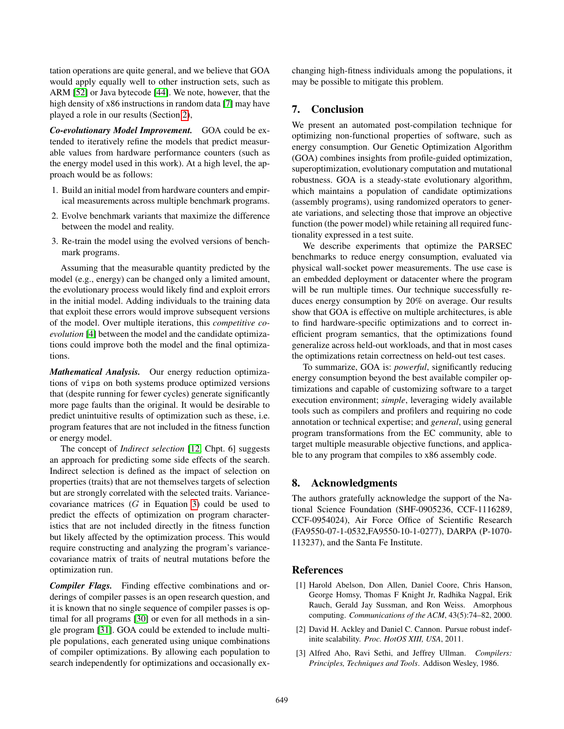tation operations are quite general, and we believe that GOA would apply equally well to other instruction sets, such as ARM [\[52\]](#page-12-17) or Java bytecode [\[44\]](#page-12-31). We note, however, that the high density of x86 instructions in random data [\[7\]](#page-11-16) may have played a role in our results (Section [2\)](#page-1-0),

*Co-evolutionary Model Improvement.* GOA could be extended to iteratively refine the models that predict measurable values from hardware performance counters (such as the energy model used in this work). At a high level, the approach would be as follows:

- 1. Build an initial model from hardware counters and empirical measurements across multiple benchmark programs.
- 2. Evolve benchmark variants that maximize the difference between the model and reality.
- 3. Re-train the model using the evolved versions of benchmark programs.

Assuming that the measurable quantity predicted by the model (e.g., energy) can be changed only a limited amount, the evolutionary process would likely find and exploit errors in the initial model. Adding individuals to the training data that exploit these errors would improve subsequent versions of the model. Over multiple iterations, this *competitive coevolution* [\[4\]](#page-11-29) between the model and the candidate optimizations could improve both the model and the final optimizations.

<span id="page-10-4"></span>*Mathematical Analysis.* Our energy reduction optimizations of vips on both systems produce optimized versions that (despite running for fewer cycles) generate significantly more page faults than the original. It would be desirable to predict unintuitive results of optimization such as these, i.e. program features that are not included in the fitness function or energy model.

The concept of *Indirect selection* [\[12,](#page-11-28) Chpt. 6] suggests an approach for predicting some side effects of the search. Indirect selection is defined as the impact of selection on properties (traits) that are not themselves targets of selection but are strongly correlated with the selected traits. Variancecovariance matrices  $(G \text{ in Equation 3})$  could be used to predict the effects of optimization on program characteristics that are not included directly in the fitness function but likely affected by the optimization process. This would require constructing and analyzing the program's variancecovariance matrix of traits of neutral mutations before the optimization run.

*Compiler Flags.* Finding effective combinations and orderings of compiler passes is an open research question, and it is known that no single sequence of compiler passes is optimal for all programs [\[30\]](#page-11-30) or even for all methods in a single program [\[31\]](#page-11-31). GOA could be extended to include multiple populations, each generated using unique combinations of compiler optimizations. By allowing each population to search independently for optimizations and occasionally exchanging high-fitness individuals among the populations, it may be possible to mitigate this problem.

# <span id="page-10-1"></span>7. Conclusion

We present an automated post-compilation technique for optimizing non-functional properties of software, such as energy consumption. Our Genetic Optimization Algorithm (GOA) combines insights from profile-guided optimization, superoptimization, evolutionary computation and mutational robustness. GOA is a steady-state evolutionary algorithm, which maintains a population of candidate optimizations (assembly programs), using randomized operators to generate variations, and selecting those that improve an objective function (the power model) while retaining all required functionality expressed in a test suite.

We describe experiments that optimize the PARSEC benchmarks to reduce energy consumption, evaluated via physical wall-socket power measurements. The use case is an embedded deployment or datacenter where the program will be run multiple times. Our technique successfully reduces energy consumption by 20% on average. Our results show that GOA is effective on multiple architectures, is able to find hardware-specific optimizations and to correct inefficient program semantics, that the optimizations found generalize across held-out workloads, and that in most cases the optimizations retain correctness on held-out test cases.

To summarize, GOA is: *powerful*, significantly reducing energy consumption beyond the best available compiler optimizations and capable of customizing software to a target execution environment; *simple*, leveraging widely available tools such as compilers and profilers and requiring no code annotation or technical expertise; and *general*, using general program transformations from the EC community, able to target multiple measurable objective functions, and applicable to any program that compiles to x86 assembly code.

# 8. Acknowledgments

The authors gratefully acknowledge the support of the National Science Foundation (SHF-0905236, CCF-1116289, CCF-0954024), Air Force Office of Scientific Research (FA9550-07-1-0532,FA9550-10-1-0277), DARPA (P-1070- 113237), and the Santa Fe Institute.

# References

- <span id="page-10-2"></span>[1] Harold Abelson, Don Allen, Daniel Coore, Chris Hanson, George Homsy, Thomas F Knight Jr, Radhika Nagpal, Erik Rauch, Gerald Jay Sussman, and Ron Weiss. Amorphous computing. *Communications of the ACM*, 43(5):74–82, 2000.
- <span id="page-10-0"></span>[2] David H. Ackley and Daniel C. Cannon. Pursue robust indefinite scalability. *Proc. HotOS XIII, USA*, 2011.
- <span id="page-10-3"></span>[3] Alfred Aho, Ravi Sethi, and Jeffrey Ullman. *Compilers: Principles, Techniques and Tools*. Addison Wesley, 1986.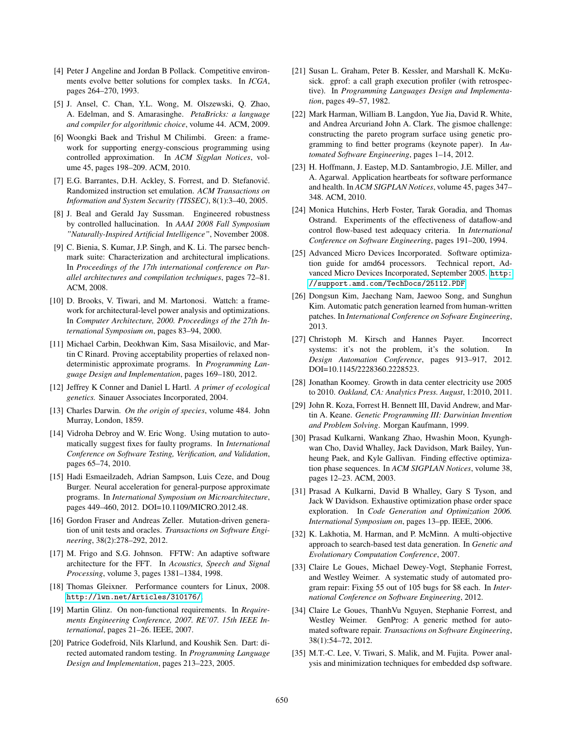- <span id="page-11-29"></span>[4] Peter J Angeline and Jordan B Pollack. Competitive environments evolve better solutions for complex tasks. In *ICGA*, pages 264–270, 1993.
- <span id="page-11-9"></span>[5] J. Ansel, C. Chan, Y.L. Wong, M. Olszewski, Q. Zhao, A. Edelman, and S. Amarasinghe. *PetaBricks: a language and compiler for algorithmic choice*, volume 44. ACM, 2009.
- <span id="page-11-10"></span>[6] Woongki Baek and Trishul M Chilimbi. Green: a framework for supporting energy-conscious programming using controlled approximation. In *ACM Sigplan Notices*, volume 45, pages 198–209. ACM, 2010.
- <span id="page-11-16"></span>[7] E.G. Barrantes, D.H. Ackley, S. Forrest, and D. Stefanović. Randomized instruction set emulation. *ACM Transactions on Information and System Security (TISSEC)*, 8(1):3–40, 2005.
- <span id="page-11-8"></span>[8] J. Beal and Gerald Jay Sussman. Engineered robustness by controlled hallucination. In *AAAI 2008 Fall Symposium "Naturally-Inspired Artificial Intelligence"*, November 2008.
- <span id="page-11-15"></span>[9] C. Bienia, S. Kumar, J.P. Singh, and K. Li. The parsec benchmark suite: Characterization and architectural implications. In *Proceedings of the 17th international conference on Parallel architectures and compilation techniques*, pages 72–81. ACM, 2008.
- <span id="page-11-0"></span>[10] D. Brooks, V. Tiwari, and M. Martonosi. Wattch: a framework for architectural-level power analysis and optimizations. In *Computer Architecture, 2000. Proceedings of the 27th International Symposium on*, pages 83–94, 2000.
- <span id="page-11-4"></span>[11] Michael Carbin, Deokhwan Kim, Sasa Misailovic, and Martin C Rinard. Proving acceptability properties of relaxed nondeterministic approximate programs. In *Programming Language Design and Implementation*, pages 169–180, 2012.
- <span id="page-11-28"></span>[12] Jeffrey K Conner and Daniel L Hartl. *A primer of ecological genetics.* Sinauer Associates Incorporated, 2004.
- <span id="page-11-27"></span>[13] Charles Darwin. *On the origin of species*, volume 484. John Murray, London, 1859.
- <span id="page-11-11"></span>[14] Vidroha Debroy and W. Eric Wong. Using mutation to automatically suggest fixes for faulty programs. In *International Conference on Software Testing, Verification, and Validation*, pages 65–74, 2010.
- <span id="page-11-5"></span>[15] Hadi Esmaeilzadeh, Adrian Sampson, Luis Ceze, and Doug Burger. Neural acceleration for general-purpose approximate programs. In *International Symposium on Microarchitecture*, pages 449–460, 2012. DOI=10.1109/MICRO.2012.48.
- <span id="page-11-18"></span>[16] Gordon Fraser and Andreas Zeller. Mutation-driven generation of unit tests and oracles. *Transactions on Software Engineering*, 38(2):278–292, 2012.
- <span id="page-11-20"></span>[17] M. Frigo and S.G. Johnson. FFTW: An adaptive software architecture for the FFT. In *Acoustics, Speech and Signal Processing*, volume 3, pages 1381–1384, 1998.
- <span id="page-11-19"></span>[18] Thomas Gleixner. Performance counters for Linux, 2008. <http://lwn.net/Articles/310176/>.
- <span id="page-11-2"></span>[19] Martin Glinz. On non-functional requirements. In *Requirements Engineering Conference, 2007. RE'07. 15th IEEE International*, pages 21–26. IEEE, 2007.
- <span id="page-11-21"></span>[20] Patrice Godefroid, Nils Klarlund, and Koushik Sen. Dart: directed automated random testing. In *Programming Language Design and Implementation*, pages 213–223, 2005.
- <span id="page-11-24"></span>[21] Susan L. Graham, Peter B. Kessler, and Marshall K. McKusick. gprof: a call graph execution profiler (with retrospective). In *Programming Languages Design and Implementation*, pages 49–57, 1982.
- <span id="page-11-6"></span>[22] Mark Harman, William B. Langdon, Yue Jia, David R. White, and Andrea Arcuriand John A. Clark. The gismoe challenge: constructing the pareto program surface using genetic programming to find better programs (keynote paper). In *Automated Software Engineering*, pages 1–14, 2012.
- <span id="page-11-25"></span>[23] H. Hoffmann, J. Eastep, M.D. Santambrogio, J.E. Miller, and A. Agarwal. Application heartbeats for software performance and health. In *ACM SIGPLAN Notices*, volume 45, pages 347– 348. ACM, 2010.
- <span id="page-11-26"></span>[24] Monica Hutchins, Herb Foster, Tarak Goradia, and Thomas Ostrand. Experiments of the effectiveness of dataflow-and control flow-based test adequacy criteria. In *International Conference on Software Engineering*, pages 191–200, 1994.
- <span id="page-11-17"></span>[25] Advanced Micro Devices Incorporated. Software optimization guide for amd64 processors. Technical report, Advanced Micro Devices Incorporated, September 2005. [http:](http://support.amd.com/TechDocs/25112.PDF) [//support.amd.com/TechDocs/25112.PDF](http://support.amd.com/TechDocs/25112.PDF).
- <span id="page-11-12"></span>[26] Dongsun Kim, Jaechang Nam, Jaewoo Song, and Sunghun Kim. Automatic patch generation learned from human-written patches. In *International Conference on Sofware Engineering*, 2013.
- <span id="page-11-7"></span>[27] Christoph M. Kirsch and Hannes Payer. Incorrect systems: it's not the problem, it's the solution. In *Design Automation Conference*, pages 913–917, 2012. DOI=10.1145/2228360.2228523.
- <span id="page-11-1"></span>[28] Jonathan Koomey. Growth in data center electricity use 2005 to 2010. *Oakland, CA: Analytics Press. August*, 1:2010, 2011.
- <span id="page-11-14"></span>[29] John R. Koza, Forrest H. Bennett III, David Andrew, and Martin A. Keane. *Genetic Programming III: Darwinian Invention and Problem Solving*. Morgan Kaufmann, 1999.
- <span id="page-11-30"></span>[30] Prasad Kulkarni, Wankang Zhao, Hwashin Moon, Kyunghwan Cho, David Whalley, Jack Davidson, Mark Bailey, Yunheung Paek, and Kyle Gallivan. Finding effective optimization phase sequences. In *ACM SIGPLAN Notices*, volume 38, pages 12–23. ACM, 2003.
- <span id="page-11-31"></span>[31] Prasad A Kulkarni, David B Whalley, Gary S Tyson, and Jack W Davidson. Exhaustive optimization phase order space exploration. In *Code Generation and Optimization 2006. International Symposium on*, pages 13–pp. IEEE, 2006.
- <span id="page-11-22"></span>[32] K. Lakhotia, M. Harman, and P. McMinn. A multi-objective approach to search-based test data generation. In *Genetic and Evolutionary Computation Conference*, 2007.
- <span id="page-11-13"></span>[33] Claire Le Goues, Michael Dewey-Vogt, Stephanie Forrest, and Westley Weimer. A systematic study of automated program repair: Fixing 55 out of 105 bugs for \$8 each. In *International Conference on Software Engineering*, 2012.
- <span id="page-11-23"></span>[34] Claire Le Goues, ThanhVu Nguyen, Stephanie Forrest, and Westley Weimer. GenProg: A generic method for automated software repair. *Transactions on Software Engineering*, 38(1):54–72, 2012.
- <span id="page-11-3"></span>[35] M.T.-C. Lee, V. Tiwari, S. Malik, and M. Fujita. Power analysis and minimization techniques for embedded dsp software.